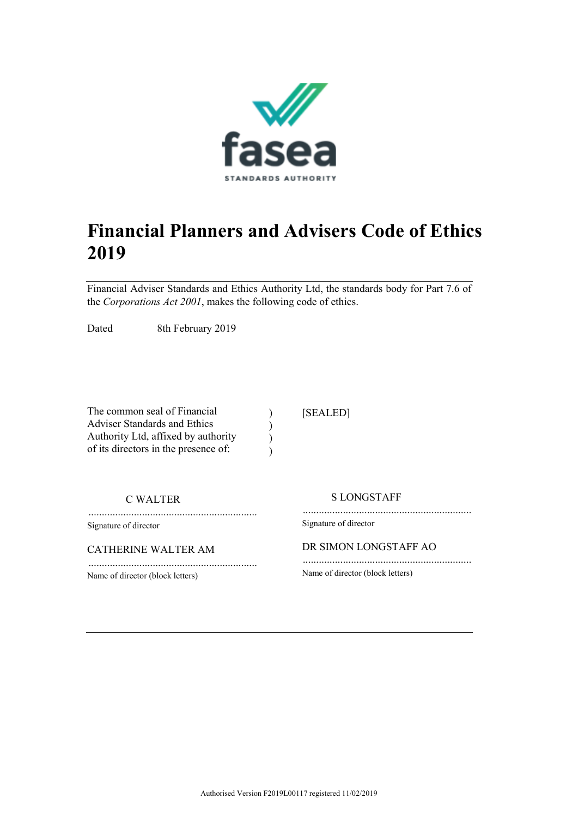

# **Financial Planners and Advisers Code of Ethics 2019**

Financial Adviser Standards and Ethics Authority Ltd, the standards body for Part 7.6 of the *Corporations Act 2001*, makes the following code of ethics.

> )  $\lambda$ )  $\lambda$

Dated 8th February 2019

The common seal of Financial Adviser Standards and Ethics Authority Ltd, affixed by authority of its directors in the presence of:

...............................................................

...............................................................

[SEALED]

C WALTER

Signature of director

CATHERINE WALTER AM

Name of director (block letters)

S LONGSTAFF

............................................................... Signature of director

DR SIMON LONGSTAFF AO

............................................................... Name of director (block letters)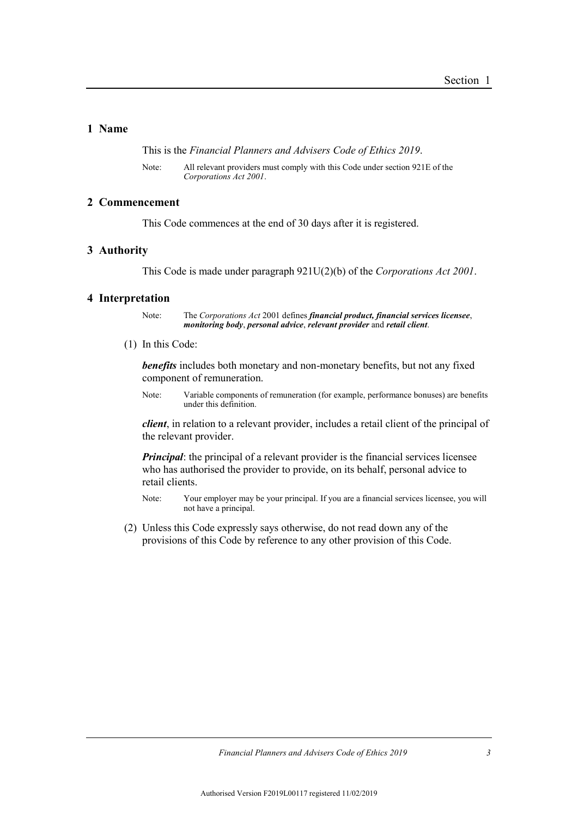## **1 Name**

This is the *Financial Planners and Advisers Code of Ethics 2019*.

Note: All relevant providers must comply with this Code under section 921E of the *Corporations Act 2001*.

## **2 Commencement**

This Code commences at the end of 30 days after it is registered.

## **3 Authority**

This Code is made under paragraph 921U(2)(b) of the *Corporations Act 2001*.

## **4 Interpretation**

Note: The *Corporations Act* 2001 defines *financial product, financial services licensee*, *monitoring body*, *personal advice*, *relevant provider* and *retail client*.

(1) In this Code:

*benefits* includes both monetary and non-monetary benefits, but not any fixed component of remuneration.

Note: Variable components of remuneration (for example, performance bonuses) are benefits under this definition.

*client*, in relation to a relevant provider, includes a retail client of the principal of the relevant provider.

*Principal*: the principal of a relevant provider is the financial services licensee who has authorised the provider to provide, on its behalf, personal advice to retail clients.

Note: Your employer may be your principal. If you are a financial services licensee, you will not have a principal.

(2) Unless this Code expressly says otherwise, do not read down any of the provisions of this Code by reference to any other provision of this Code.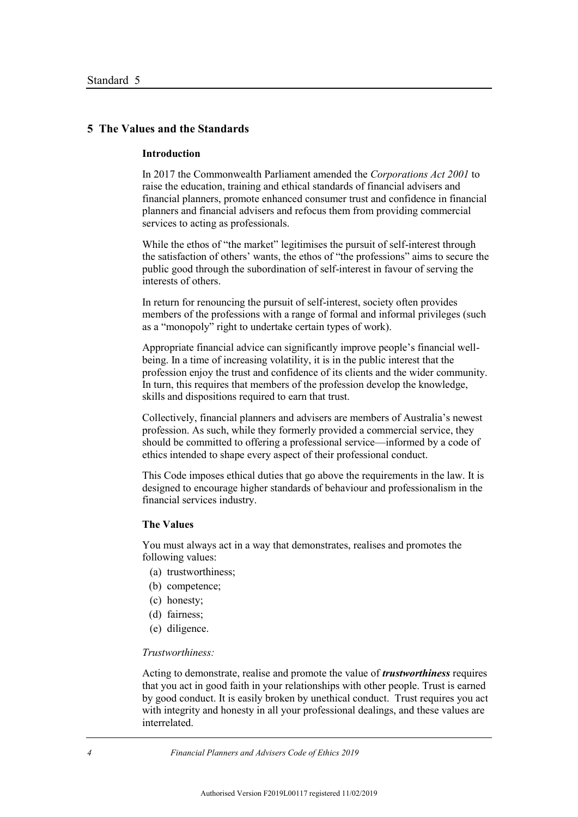## **5 The Values and the Standards**

## **Introduction**

In 2017 the Commonwealth Parliament amended the *Corporations Act 2001* to raise the education, training and ethical standards of financial advisers and financial planners, promote enhanced consumer trust and confidence in financial planners and financial advisers and refocus them from providing commercial services to acting as professionals.

While the ethos of "the market" legitimises the pursuit of self-interest through the satisfaction of others' wants, the ethos of "the professions" aims to secure the public good through the subordination of self-interest in favour of serving the interests of others.

In return for renouncing the pursuit of self-interest, society often provides members of the professions with a range of formal and informal privileges (such as a "monopoly" right to undertake certain types of work).

Appropriate financial advice can significantly improve people's financial wellbeing. In a time of increasing volatility, it is in the public interest that the profession enjoy the trust and confidence of its clients and the wider community. In turn, this requires that members of the profession develop the knowledge, skills and dispositions required to earn that trust.

Collectively, financial planners and advisers are members of Australia's newest profession. As such, while they formerly provided a commercial service, they should be committed to offering a professional service—informed by a code of ethics intended to shape every aspect of their professional conduct.

This Code imposes ethical duties that go above the requirements in the law. It is designed to encourage higher standards of behaviour and professionalism in the financial services industry.

#### **The Values**

You must always act in a way that demonstrates, realises and promotes the following values:

- (a) trustworthiness;
- (b) competence;
- (c) honesty;
- (d) fairness;
- (e) diligence.

#### *Trustworthiness:*

Acting to demonstrate, realise and promote the value of *trustworthiness* requires that you act in good faith in your relationships with other people. Trust is earned by good conduct. It is easily broken by unethical conduct. Trust requires you act with integrity and honesty in all your professional dealings, and these values are interrelated.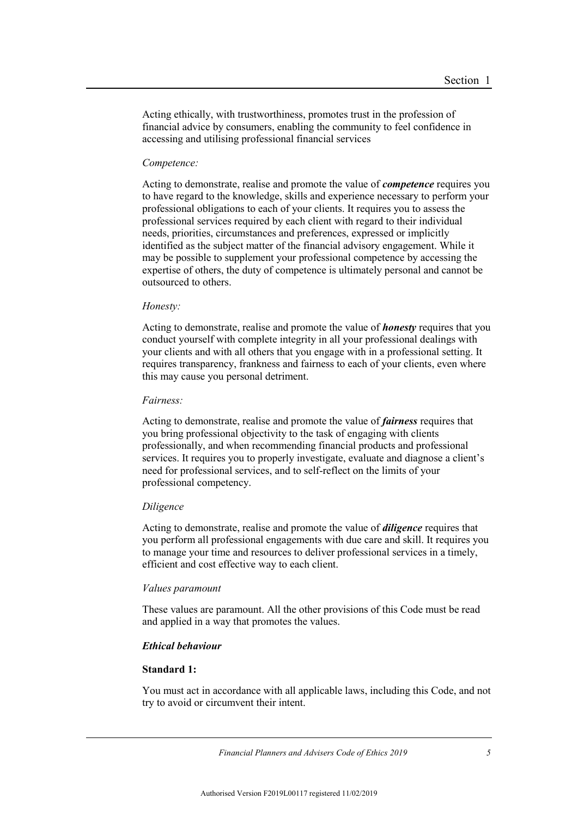Acting ethically, with trustworthiness, promotes trust in the profession of financial advice by consumers, enabling the community to feel confidence in accessing and utilising professional financial services

#### *Competence:*

Acting to demonstrate, realise and promote the value of *competence* requires you to have regard to the knowledge, skills and experience necessary to perform your professional obligations to each of your clients. It requires you to assess the professional services required by each client with regard to their individual needs, priorities, circumstances and preferences, expressed or implicitly identified as the subject matter of the financial advisory engagement. While it may be possible to supplement your professional competence by accessing the expertise of others, the duty of competence is ultimately personal and cannot be outsourced to others.

#### *Honesty:*

Acting to demonstrate, realise and promote the value of *honesty* requires that you conduct yourself with complete integrity in all your professional dealings with your clients and with all others that you engage with in a professional setting. It requires transparency, frankness and fairness to each of your clients, even where this may cause you personal detriment.

#### *Fairness:*

Acting to demonstrate, realise and promote the value of *fairness* requires that you bring professional objectivity to the task of engaging with clients professionally, and when recommending financial products and professional services. It requires you to properly investigate, evaluate and diagnose a client's need for professional services, and to self-reflect on the limits of your professional competency.

#### *Diligence*

Acting to demonstrate, realise and promote the value of *diligence* requires that you perform all professional engagements with due care and skill. It requires you to manage your time and resources to deliver professional services in a timely, efficient and cost effective way to each client.

#### *Values paramount*

These values are paramount. All the other provisions of this Code must be read and applied in a way that promotes the values.

## *Ethical behaviour*

## **Standard 1:**

You must act in accordance with all applicable laws, including this Code, and not try to avoid or circumvent their intent.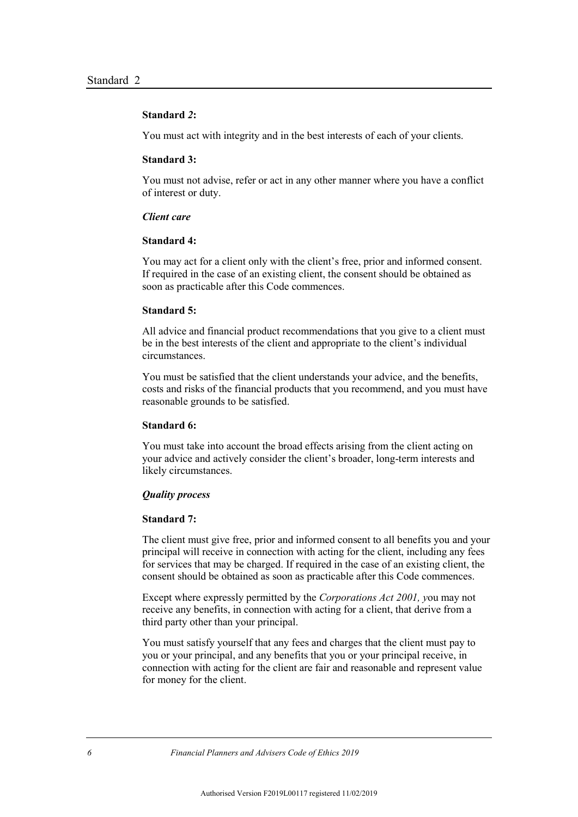## **Standard** *2***:**

You must act with integrity and in the best interests of each of your clients.

#### **Standard 3:**

You must not advise, refer or act in any other manner where you have a conflict of interest or duty.

## *Client care*

## **Standard 4:**

You may act for a client only with the client's free, prior and informed consent. If required in the case of an existing client, the consent should be obtained as soon as practicable after this Code commences.

#### **Standard 5:**

All advice and financial product recommendations that you give to a client must be in the best interests of the client and appropriate to the client's individual circumstances.

You must be satisfied that the client understands your advice, and the benefits, costs and risks of the financial products that you recommend, and you must have reasonable grounds to be satisfied.

#### **Standard 6:**

You must take into account the broad effects arising from the client acting on your advice and actively consider the client's broader, long-term interests and likely circumstances.

#### *Quality process*

#### **Standard 7:**

The client must give free, prior and informed consent to all benefits you and your principal will receive in connection with acting for the client, including any fees for services that may be charged. If required in the case of an existing client, the consent should be obtained as soon as practicable after this Code commences.

Except where expressly permitted by the *Corporations Act 2001, y*ou may not receive any benefits, in connection with acting for a client, that derive from a third party other than your principal.

You must satisfy yourself that any fees and charges that the client must pay to you or your principal, and any benefits that you or your principal receive, in connection with acting for the client are fair and reasonable and represent value for money for the client.